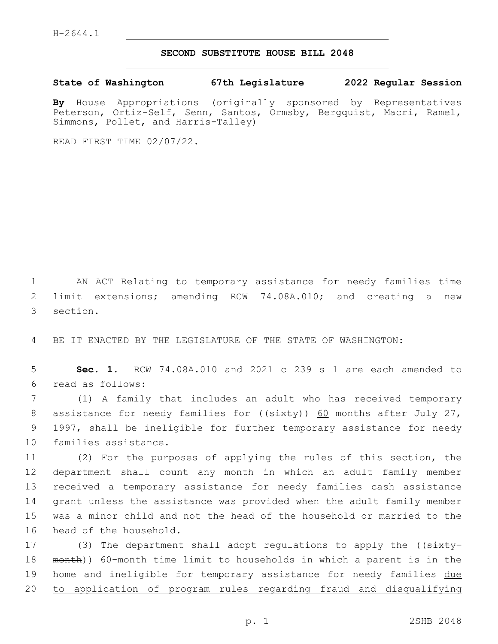H-2644.1

## **SECOND SUBSTITUTE HOUSE BILL 2048**

**State of Washington 67th Legislature 2022 Regular Session**

**By** House Appropriations (originally sponsored by Representatives Peterson, Ortiz-Self, Senn, Santos, Ormsby, Bergquist, Macri, Ramel, Simmons, Pollet, and Harris-Talley)

READ FIRST TIME 02/07/22.

1 AN ACT Relating to temporary assistance for needy families time 2 limit extensions; amending RCW 74.08A.010; and creating a new 3 section.

4 BE IT ENACTED BY THE LEGISLATURE OF THE STATE OF WASHINGTON:

5 **Sec. 1.** RCW 74.08A.010 and 2021 c 239 s 1 are each amended to read as follows:6

7 (1) A family that includes an adult who has received temporary 8 assistance for needy families for  $((s+1)(s+1))$  60 months after July 27, 9 1997, shall be ineligible for further temporary assistance for needy 10 families assistance.

 (2) For the purposes of applying the rules of this section, the department shall count any month in which an adult family member received a temporary assistance for needy families cash assistance grant unless the assistance was provided when the adult family member was a minor child and not the head of the household or married to the 16 head of the household.

17 (3) The department shall adopt regulations to apply the ((sixty-18 month)) 60-month time limit to households in which a parent is in the 19 home and ineligible for temporary assistance for needy families due 20 to application of program rules regarding fraud and disqualifying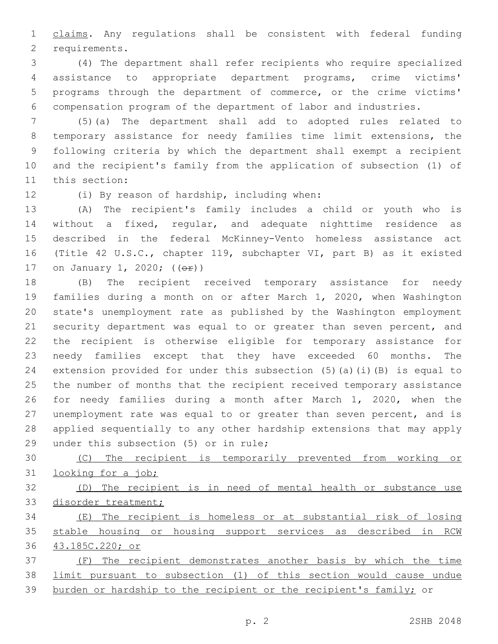1 claims. Any regulations shall be consistent with federal funding 2 requirements.

 (4) The department shall refer recipients who require specialized assistance to appropriate department programs, crime victims' programs through the department of commerce, or the crime victims' compensation program of the department of labor and industries.

 (5)(a) The department shall add to adopted rules related to temporary assistance for needy families time limit extensions, the following criteria by which the department shall exempt a recipient and the recipient's family from the application of subsection (1) of 11 this section:

12 (i) By reason of hardship, including when:

 (A) The recipient's family includes a child or youth who is without a fixed, regular, and adequate nighttime residence as described in the federal McKinney-Vento homeless assistance act (Title 42 U.S.C., chapter 119, subchapter VI, part B) as it existed 17 on January 1, 2020; (( $\Theta$ r))

 (B) The recipient received temporary assistance for needy families during a month on or after March 1, 2020, when Washington state's unemployment rate as published by the Washington employment 21 security department was equal to or greater than seven percent, and the recipient is otherwise eligible for temporary assistance for needy families except that they have exceeded 60 months. The extension provided for under this subsection (5)(a)(i)(B) is equal to the number of months that the recipient received temporary assistance for needy families during a month after March 1, 2020, when the unemployment rate was equal to or greater than seven percent, and is applied sequentially to any other hardship extensions that may apply 29 under this subsection (5) or in rule;

 (C) The recipient is temporarily prevented from working or looking for a job;

 (D) The recipient is in need of mental health or substance use disorder treatment;

 (E) The recipient is homeless or at substantial risk of losing stable housing or housing support services as described in RCW 43.185C.220; or

 (F) The recipient demonstrates another basis by which the time limit pursuant to subsection (1) of this section would cause undue 39 burden or hardship to the recipient or the recipient's family; or